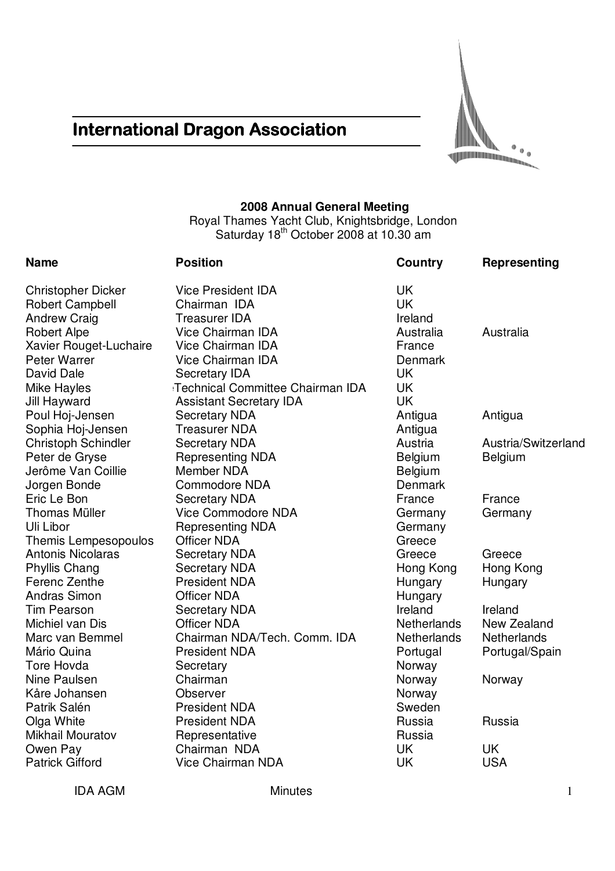# **International Dragon Association**



# **2008 Annual General Meeting**

Royal Thames Yacht Club, Knightsbridge, London Saturday 18<sup>th</sup> October 2008 at 10.30 am

| <b>Name</b>                | <b>Position</b>                  | Country            | Representing        |
|----------------------------|----------------------------------|--------------------|---------------------|
| <b>Christopher Dicker</b>  | <b>Vice President IDA</b>        | <b>UK</b>          |                     |
| <b>Robert Campbell</b>     | Chairman IDA                     | <b>UK</b>          |                     |
| <b>Andrew Craig</b>        | <b>Treasurer IDA</b>             | Ireland            |                     |
| <b>Robert Alpe</b>         | Vice Chairman IDA                | Australia          | Australia           |
| Xavier Rouget-Luchaire     | Vice Chairman IDA                | France             |                     |
| <b>Peter Warrer</b>        | Vice Chairman IDA                | Denmark            |                     |
| David Dale                 | <b>Secretary IDA</b>             | <b>UK</b>          |                     |
| Mike Hayles                | Technical Committee Chairman IDA | <b>UK</b>          |                     |
| Jill Hayward               | <b>Assistant Secretary IDA</b>   | UK                 |                     |
| Poul Hoj-Jensen            | <b>Secretary NDA</b>             | Antigua            | Antigua             |
| Sophia Hoj-Jensen          | <b>Treasurer NDA</b>             | Antigua            |                     |
| <b>Christoph Schindler</b> | <b>Secretary NDA</b>             | Austria            | Austria/Switzerland |
| Peter de Gryse             | <b>Representing NDA</b>          | Belgium            | Belgium             |
| Jerôme Van Coillie         | Member NDA                       | Belgium            |                     |
| Jorgen Bonde               | <b>Commodore NDA</b>             | Denmark            |                     |
| Eric Le Bon                | <b>Secretary NDA</b>             | France             | France              |
| <b>Thomas Müller</b>       | <b>Vice Commodore NDA</b>        | Germany            | Germany             |
| Uli Libor                  | <b>Representing NDA</b>          | Germany            |                     |
| Themis Lempesopoulos       | <b>Officer NDA</b>               | Greece             |                     |
| <b>Antonis Nicolaras</b>   | <b>Secretary NDA</b>             | Greece             | Greece              |
| <b>Phyllis Chang</b>       | <b>Secretary NDA</b>             | Hong Kong          | Hong Kong           |
| Ferenc Zenthe              | <b>President NDA</b>             | Hungary            | Hungary             |
| <b>Andras Simon</b>        | <b>Officer NDA</b>               | Hungary            |                     |
| <b>Tim Pearson</b>         | <b>Secretary NDA</b>             | Ireland            | Ireland             |
| Michiel van Dis            | <b>Officer NDA</b>               | <b>Netherlands</b> | New Zealand         |
| Marc van Bemmel            | Chairman NDA/Tech. Comm. IDA     | <b>Netherlands</b> | <b>Netherlands</b>  |
| Mário Quina                | <b>President NDA</b>             | Portugal           | Portugal/Spain      |
| Tore Hovda                 | Secretary                        | Norway             |                     |
| <b>Nine Paulsen</b>        | Chairman                         | Norway             | Norway              |
| Kåre Johansen              | <b>Observer</b>                  | Norway             |                     |
| Patrik Salén               | <b>President NDA</b>             | Sweden             |                     |
| Olga White                 | <b>President NDA</b>             | Russia             | Russia              |
| <b>Mikhail Mouratov</b>    | Representative                   | Russia             |                     |
| Owen Pay                   | Chairman NDA                     | UK                 | <b>UK</b>           |
| <b>Patrick Gifford</b>     | <b>Vice Chairman NDA</b>         | UK                 | <b>USA</b>          |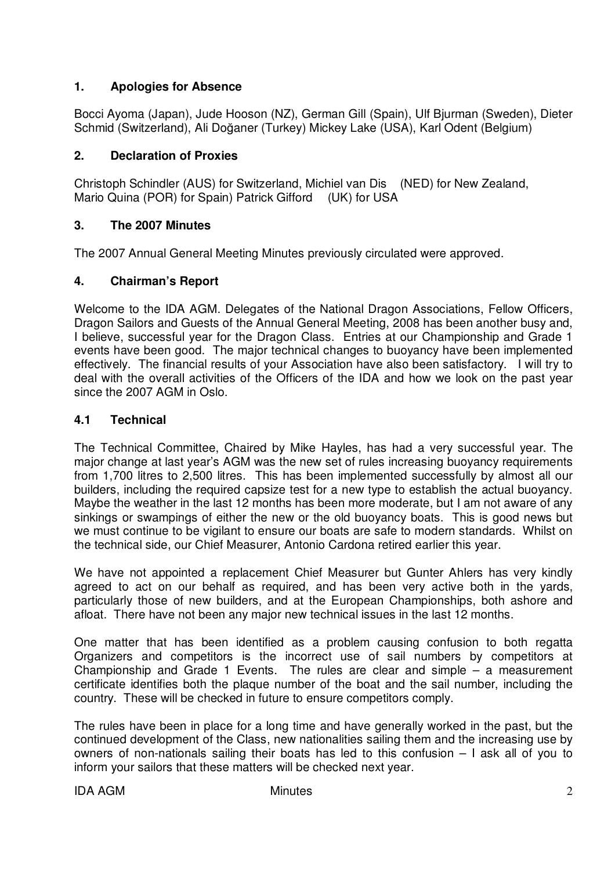# **1. Apologies for Absence**

Bocci Ayoma (Japan), Jude Hooson (NZ), German Gill (Spain), Ulf Bjurman (Sweden), Dieter Schmid (Switzerland), Ali Doğaner (Turkey) Mickey Lake (USA), Karl Odent (Belgium)

### **2. Declaration of Proxies**

Christoph Schindler (AUS) for Switzerland, Michiel van Dis (NED) for New Zealand, Mario Quina (POR) for Spain) Patrick Gifford (UK) for USA

#### **3. The 2007 Minutes**

The 2007 Annual General Meeting Minutes previously circulated were approved.

#### **4. Chairman's Report**

Welcome to the IDA AGM. Delegates of the National Dragon Associations, Fellow Officers, Dragon Sailors and Guests of the Annual General Meeting, 2008 has been another busy and, I believe, successful year for the Dragon Class. Entries at our Championship and Grade 1 events have been good. The major technical changes to buoyancy have been implemented effectively. The financial results of your Association have also been satisfactory. I will try to deal with the overall activities of the Officers of the IDA and how we look on the past year since the 2007 AGM in Oslo.

#### **4.1 Technical**

The Technical Committee, Chaired by Mike Hayles, has had a very successful year. The major change at last year's AGM was the new set of rules increasing buoyancy requirements from 1,700 litres to 2,500 litres. This has been implemented successfully by almost all our builders, including the required capsize test for a new type to establish the actual buoyancy. Maybe the weather in the last 12 months has been more moderate, but I am not aware of any sinkings or swampings of either the new or the old buoyancy boats. This is good news but we must continue to be vigilant to ensure our boats are safe to modern standards. Whilst on the technical side, our Chief Measurer, Antonio Cardona retired earlier this year.

We have not appointed a replacement Chief Measurer but Gunter Ahlers has very kindly agreed to act on our behalf as required, and has been very active both in the yards, particularly those of new builders, and at the European Championships, both ashore and afloat. There have not been any major new technical issues in the last 12 months.

One matter that has been identified as a problem causing confusion to both regatta Organizers and competitors is the incorrect use of sail numbers by competitors at Championship and Grade 1 Events. The rules are clear and simple – a measurement certificate identifies both the plaque number of the boat and the sail number, including the country. These will be checked in future to ensure competitors comply.

The rules have been in place for a long time and have generally worked in the past, but the continued development of the Class, new nationalities sailing them and the increasing use by owners of non-nationals sailing their boats has led to this confusion – I ask all of you to inform your sailors that these matters will be checked next year.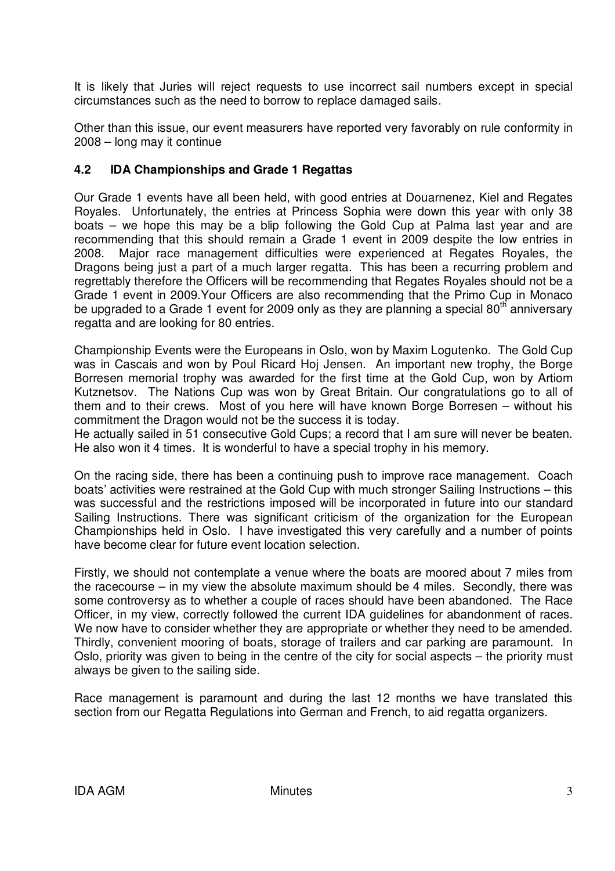It is likely that Juries will reject requests to use incorrect sail numbers except in special circumstances such as the need to borrow to replace damaged sails.

Other than this issue, our event measurers have reported very favorably on rule conformity in 2008 – long may it continue

# **4.2 IDA Championships and Grade 1 Regattas**

Our Grade 1 events have all been held, with good entries at Douarnenez, Kiel and Regates Royales. Unfortunately, the entries at Princess Sophia were down this year with only 38 boats – we hope this may be a blip following the Gold Cup at Palma last year and are recommending that this should remain a Grade 1 event in 2009 despite the low entries in 2008. Major race management difficulties were experienced at Regates Royales, the Dragons being just a part of a much larger regatta. This has been a recurring problem and regrettably therefore the Officers will be recommending that Regates Royales should not be a Grade 1 event in 2009.Your Officers are also recommending that the Primo Cup in Monaco be upgraded to a Grade 1 event for 2009 only as they are planning a special 80<sup>th</sup> anniversary regatta and are looking for 80 entries.

Championship Events were the Europeans in Oslo, won by Maxim Logutenko. The Gold Cup was in Cascais and won by Poul Ricard Hoj Jensen. An important new trophy, the Borge Borresen memorial trophy was awarded for the first time at the Gold Cup, won by Artiom Kutznetsov. The Nations Cup was won by Great Britain. Our congratulations go to all of them and to their crews. Most of you here will have known Borge Borresen – without his commitment the Dragon would not be the success it is today.

He actually sailed in 51 consecutive Gold Cups; a record that I am sure will never be beaten. He also won it 4 times. It is wonderful to have a special trophy in his memory.

On the racing side, there has been a continuing push to improve race management. Coach boats' activities were restrained at the Gold Cup with much stronger Sailing Instructions – this was successful and the restrictions imposed will be incorporated in future into our standard Sailing Instructions. There was significant criticism of the organization for the European Championships held in Oslo. I have investigated this very carefully and a number of points have become clear for future event location selection.

Firstly, we should not contemplate a venue where the boats are moored about 7 miles from the racecourse – in my view the absolute maximum should be 4 miles. Secondly, there was some controversy as to whether a couple of races should have been abandoned. The Race Officer, in my view, correctly followed the current IDA guidelines for abandonment of races. We now have to consider whether they are appropriate or whether they need to be amended. Thirdly, convenient mooring of boats, storage of trailers and car parking are paramount. In Oslo, priority was given to being in the centre of the city for social aspects – the priority must always be given to the sailing side.

Race management is paramount and during the last 12 months we have translated this section from our Regatta Regulations into German and French, to aid regatta organizers.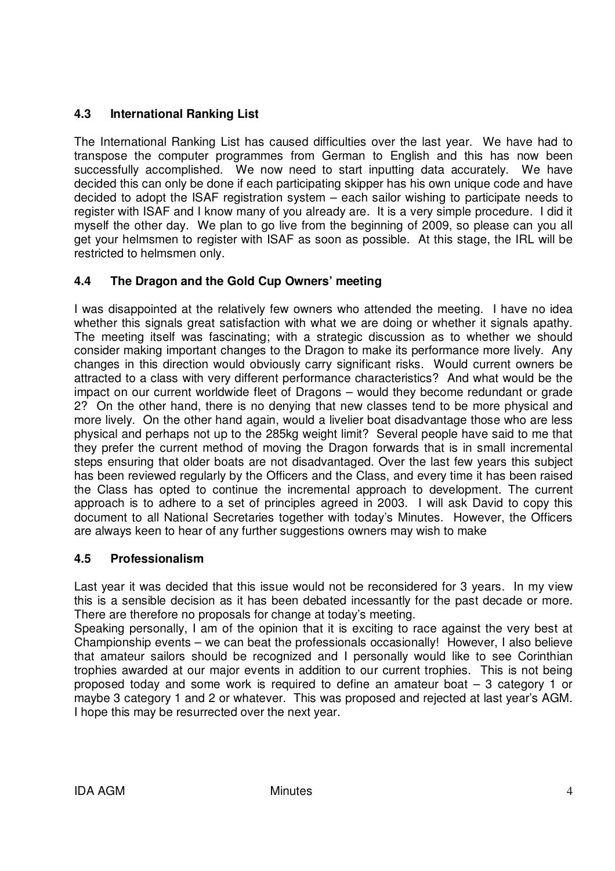# **4.3 International Ranking List**

The International Ranking List has caused difficulties over the last year. We have had to transpose the computer programmes from German to English and this has now been successfully accomplished. We now need to start inputting data accurately. We have decided this can only be done if each participating skipper has his own unique code and have decided to adopt the ISAF registration system – each sailor wishing to participate needs to register with ISAF and I know many of you already are. It is a very simple procedure. I did it myself the other day. We plan to go live from the beginning of 2009, so please can you all get your helmsmen to register with ISAF as soon as possible. At this stage, the IRL will be restricted to helmsmen only.

# **4.4 The Dragon and the Gold Cup Owners' meeting**

I was disappointed at the relatively few owners who attended the meeting. I have no idea whether this signals great satisfaction with what we are doing or whether it signals apathy. The meeting itself was fascinating; with a strategic discussion as to whether we should consider making important changes to the Dragon to make its performance more lively. Any changes in this direction would obviously carry significant risks. Would current owners be attracted to a class with very different performance characteristics? And what would be the impact on our current worldwide fleet of Dragons – would they become redundant or grade 2? On the other hand, there is no denying that new classes tend to be more physical and more lively. On the other hand again, would a livelier boat disadvantage those who are less physical and perhaps not up to the 285kg weight limit? Several people have said to me that they prefer the current method of moving the Dragon forwards that is in small incremental steps ensuring that older boats are not disadvantaged. Over the last few years this subject has been reviewed regularly by the Officers and the Class, and every time it has been raised the Class has opted to continue the incremental approach to development. The current approach is to adhere to a set of principles agreed in 2003. I will ask David to copy this document to all National Secretaries together with today's Minutes. However, the Officers are always keen to hear of any further suggestions owners may wish to make

#### **4.5 Professionalism**

Last year it was decided that this issue would not be reconsidered for 3 years. In my view this is a sensible decision as it has been debated incessantly for the past decade or more. There are therefore no proposals for change at today's meeting.

Speaking personally, I am of the opinion that it is exciting to race against the very best at Championship events – we can beat the professionals occasionally! However, I also believe that amateur sailors should be recognized and I personally would like to see Corinthian trophies awarded at our major events in addition to our current trophies. This is not being proposed today and some work is required to define an amateur boat – 3 category 1 or maybe 3 category 1 and 2 or whatever. This was proposed and rejected at last year's AGM. I hope this may be resurrected over the next year.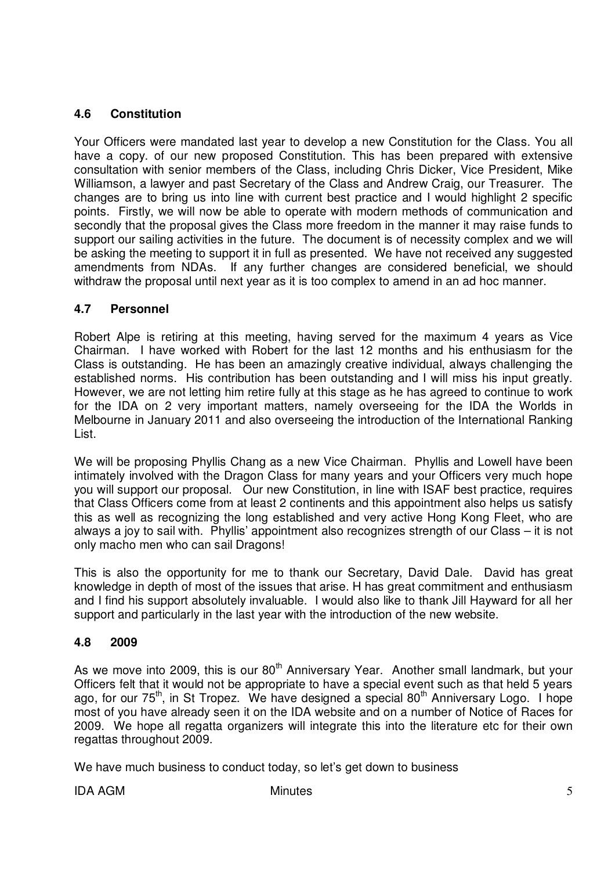# **4.6 Constitution**

Your Officers were mandated last year to develop a new Constitution for the Class. You all have a copy. of our new proposed Constitution. This has been prepared with extensive consultation with senior members of the Class, including Chris Dicker, Vice President, Mike Williamson, a lawyer and past Secretary of the Class and Andrew Craig, our Treasurer. The changes are to bring us into line with current best practice and I would highlight 2 specific points. Firstly, we will now be able to operate with modern methods of communication and secondly that the proposal gives the Class more freedom in the manner it may raise funds to support our sailing activities in the future. The document is of necessity complex and we will be asking the meeting to support it in full as presented. We have not received any suggested amendments from NDAs. If any further changes are considered beneficial, we should withdraw the proposal until next year as it is too complex to amend in an ad hoc manner.

# **4.7 Personnel**

Robert Alpe is retiring at this meeting, having served for the maximum 4 years as Vice Chairman. I have worked with Robert for the last 12 months and his enthusiasm for the Class is outstanding. He has been an amazingly creative individual, always challenging the established norms. His contribution has been outstanding and I will miss his input greatly. However, we are not letting him retire fully at this stage as he has agreed to continue to work for the IDA on 2 very important matters, namely overseeing for the IDA the Worlds in Melbourne in January 2011 and also overseeing the introduction of the International Ranking List.

We will be proposing Phyllis Chang as a new Vice Chairman. Phyllis and Lowell have been intimately involved with the Dragon Class for many years and your Officers very much hope you will support our proposal. Our new Constitution, in line with ISAF best practice, requires that Class Officers come from at least 2 continents and this appointment also helps us satisfy this as well as recognizing the long established and very active Hong Kong Fleet, who are always a joy to sail with. Phyllis' appointment also recognizes strength of our Class – it is not only macho men who can sail Dragons!

This is also the opportunity for me to thank our Secretary, David Dale. David has great knowledge in depth of most of the issues that arise. H has great commitment and enthusiasm and I find his support absolutely invaluable. I would also like to thank Jill Hayward for all her support and particularly in the last year with the introduction of the new website.

# **4.8 2009**

As we move into 2009, this is our 80<sup>th</sup> Anniversary Year. Another small landmark, but your Officers felt that it would not be appropriate to have a special event such as that held 5 years ago, for our 75<sup>th</sup>, in St Tropez. We have designed a special 80<sup>th</sup> Anniversary Logo. I hope most of you have already seen it on the IDA website and on a number of Notice of Races for 2009. We hope all regatta organizers will integrate this into the literature etc for their own regattas throughout 2009.

We have much business to conduct today, so let's get down to business

IDA AGM 5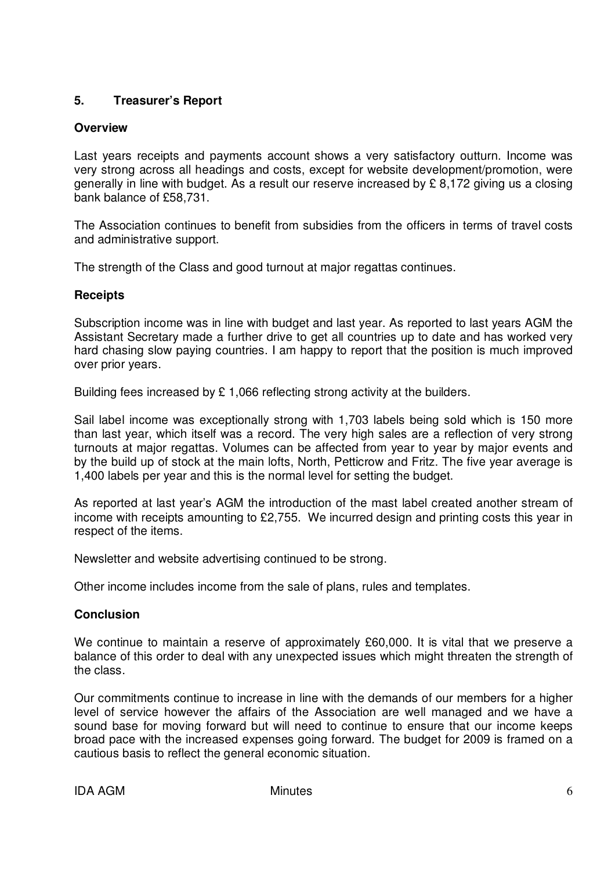# **5. Treasurer's Report**

### **Overview**

Last years receipts and payments account shows a very satisfactory outturn. Income was very strong across all headings and costs, except for website development/promotion, were generally in line with budget. As a result our reserve increased by £ 8,172 giving us a closing bank balance of £58,731.

The Association continues to benefit from subsidies from the officers in terms of travel costs and administrative support.

The strength of the Class and good turnout at major regattas continues.

# **Receipts**

Subscription income was in line with budget and last year. As reported to last years AGM the Assistant Secretary made a further drive to get all countries up to date and has worked very hard chasing slow paying countries. I am happy to report that the position is much improved over prior years.

Building fees increased by  $£ 1,066$  reflecting strong activity at the builders.

Sail label income was exceptionally strong with 1,703 labels being sold which is 150 more than last year, which itself was a record. The very high sales are a reflection of very strong turnouts at major regattas. Volumes can be affected from year to year by major events and by the build up of stock at the main lofts, North, Petticrow and Fritz. The five year average is 1,400 labels per year and this is the normal level for setting the budget.

As reported at last year's AGM the introduction of the mast label created another stream of income with receipts amounting to £2,755. We incurred design and printing costs this year in respect of the items.

Newsletter and website advertising continued to be strong.

Other income includes income from the sale of plans, rules and templates.

#### **Conclusion**

We continue to maintain a reserve of approximately £60,000. It is vital that we preserve a balance of this order to deal with any unexpected issues which might threaten the strength of the class.

Our commitments continue to increase in line with the demands of our members for a higher level of service however the affairs of the Association are well managed and we have a sound base for moving forward but will need to continue to ensure that our income keeps broad pace with the increased expenses going forward. The budget for 2009 is framed on a cautious basis to reflect the general economic situation.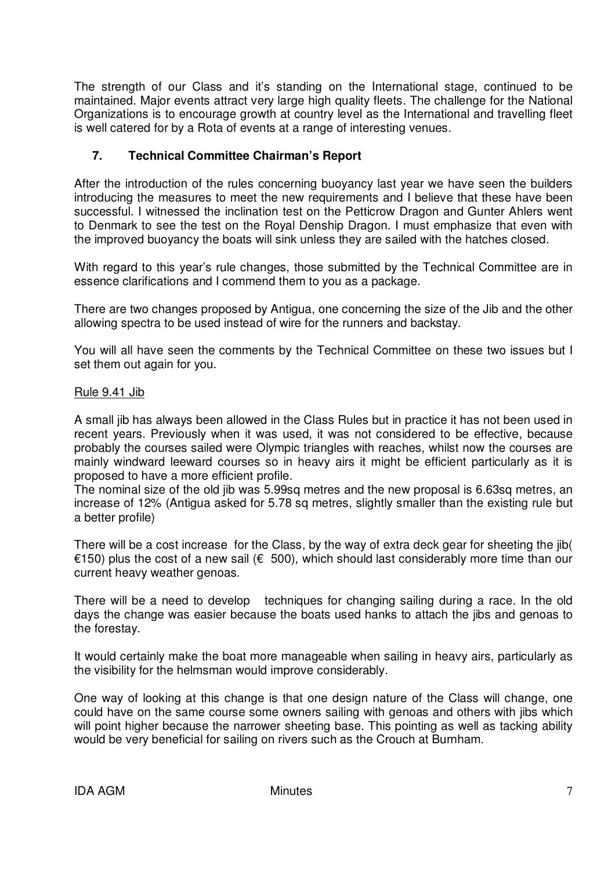The strength of our Class and it's standing on the International stage, continued to be maintained. Major events attract very large high quality fleets. The challenge for the National Organizations is to encourage growth at country level as the International and travelling fleet is well catered for by a Rota of events at a range of interesting venues.

# **7. Technical Committee Chairman's Report**

After the introduction of the rules concerning buoyancy last year we have seen the builders introducing the measures to meet the new requirements and I believe that these have been successful. I witnessed the inclination test on the Petticrow Dragon and Gunter Ahlers went to Denmark to see the test on the Royal Denship Dragon. I must emphasize that even with the improved buoyancy the boats will sink unless they are sailed with the hatches closed.

With regard to this year's rule changes, those submitted by the Technical Committee are in essence clarifications and I commend them to you as a package.

There are two changes proposed by Antigua, one concerning the size of the Jib and the other allowing spectra to be used instead of wire for the runners and backstay.

You will all have seen the comments by the Technical Committee on these two issues but I set them out again for you.

#### Rule 9.41 Jib

A small jib has always been allowed in the Class Rules but in practice it has not been used in recent years. Previously when it was used, it was not considered to be effective, because probably the courses sailed were Olympic triangles with reaches, whilst now the courses are mainly windward leeward courses so in heavy airs it might be efficient particularly as it is proposed to have a more efficient profile.

The nominal size of the old jib was 5.99sq metres and the new proposal is 6.63sq metres, an increase of 12% (Antigua asked for 5.78 sq metres, slightly smaller than the existing rule but a better profile)

There will be a cost increase for the Class, by the way of extra deck gear for sheeting the jib( €150) plus the cost of a new sail (€ 500), which should last considerably more time than our current heavy weather genoas.

There will be a need to develop techniques for changing sailing during a race. In the old days the change was easier because the boats used hanks to attach the jibs and genoas to the forestay.

It would certainly make the boat more manageable when sailing in heavy airs, particularly as the visibility for the helmsman would improve considerably.

One way of looking at this change is that one design nature of the Class will change, one could have on the same course some owners sailing with genoas and others with jibs which will point higher because the narrower sheeting base. This pointing as well as tacking ability would be very beneficial for sailing on rivers such as the Crouch at Burnham.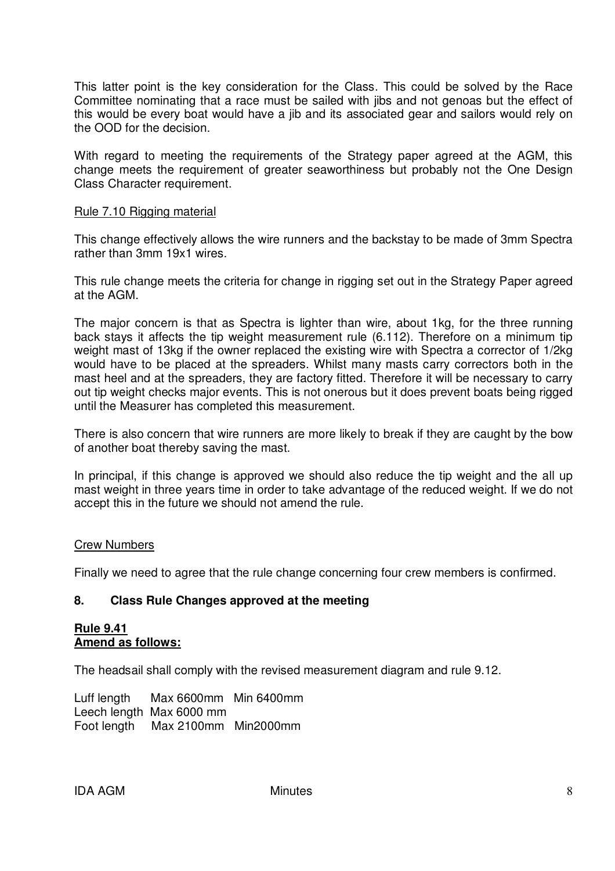This latter point is the key consideration for the Class. This could be solved by the Race Committee nominating that a race must be sailed with jibs and not genoas but the effect of this would be every boat would have a jib and its associated gear and sailors would rely on the OOD for the decision.

With regard to meeting the requirements of the Strategy paper agreed at the AGM, this change meets the requirement of greater seaworthiness but probably not the One Design Class Character requirement.

#### Rule 7.10 Rigging material

This change effectively allows the wire runners and the backstay to be made of 3mm Spectra rather than 3mm 19x1 wires.

This rule change meets the criteria for change in rigging set out in the Strategy Paper agreed at the AGM.

The major concern is that as Spectra is lighter than wire, about 1kg, for the three running back stays it affects the tip weight measurement rule (6.112). Therefore on a minimum tip weight mast of 13kg if the owner replaced the existing wire with Spectra a corrector of 1/2kg would have to be placed at the spreaders. Whilst many masts carry correctors both in the mast heel and at the spreaders, they are factory fitted. Therefore it will be necessary to carry out tip weight checks major events. This is not onerous but it does prevent boats being rigged until the Measurer has completed this measurement.

There is also concern that wire runners are more likely to break if they are caught by the bow of another boat thereby saving the mast.

In principal, if this change is approved we should also reduce the tip weight and the all up mast weight in three years time in order to take advantage of the reduced weight. If we do not accept this in the future we should not amend the rule.

#### Crew Numbers

Finally we need to agree that the rule change concerning four crew members is confirmed.

#### **8. Class Rule Changes approved at the meeting**

#### **Rule 9.41 Amend as follows:**

The headsail shall comply with the revised measurement diagram and rule 9.12.

Luff length Max 6600mm Min 6400mm Leech length Max 6000 mm Foot length Max 2100mm Min2000mm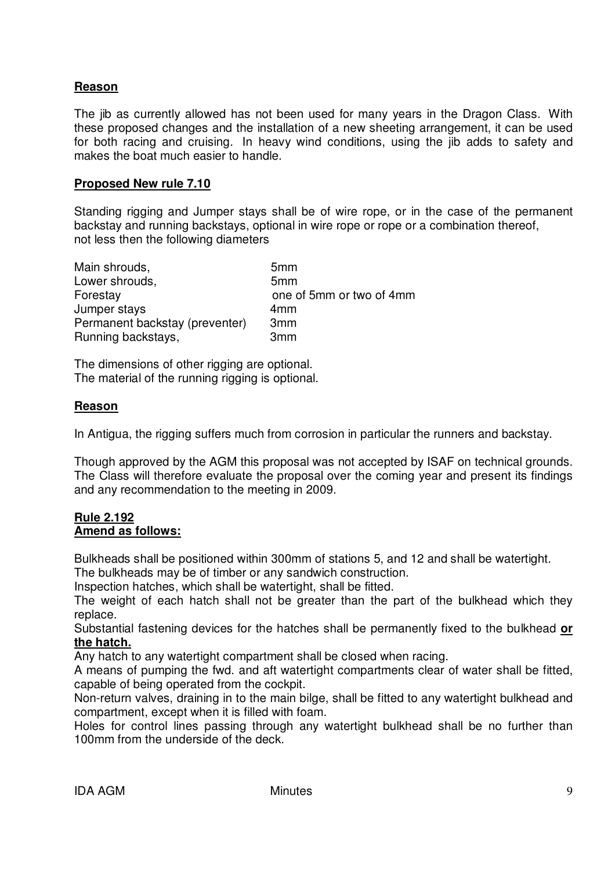### **Reason**

The jib as currently allowed has not been used for many years in the Dragon Class. With these proposed changes and the installation of a new sheeting arrangement, it can be used for both racing and cruising. In heavy wind conditions, using the jib adds to safety and makes the boat much easier to handle.

#### **Proposed New rule 7.10**

Standing rigging and Jumper stays shall be of wire rope, or in the case of the permanent backstay and running backstays, optional in wire rope or rope or a combination thereof, not less then the following diameters

| Main shrouds,                  | 5 <sub>mm</sub>          |
|--------------------------------|--------------------------|
| Lower shrouds,                 | 5 <sub>mm</sub>          |
| Forestay                       | one of 5mm or two of 4mm |
| Jumper stays                   | 4 <sub>mm</sub>          |
| Permanent backstay (preventer) | 3 <sub>mm</sub>          |
| Running backstays,             | 3 <sub>mm</sub>          |

The dimensions of other rigging are optional. The material of the running rigging is optional.

#### **Reason**

In Antigua, the rigging suffers much from corrosion in particular the runners and backstay.

Though approved by the AGM this proposal was not accepted by ISAF on technical grounds. The Class will therefore evaluate the proposal over the coming year and present its findings and any recommendation to the meeting in 2009.

#### **Rule 2.192 Amend as follows:**

Bulkheads shall be positioned within 300mm of stations 5, and 12 and shall be watertight.

The bulkheads may be of timber or any sandwich construction.

Inspection hatches, which shall be watertight, shall be fitted.

The weight of each hatch shall not be greater than the part of the bulkhead which they replace.

Substantial fastening devices for the hatches shall be permanently fixed to the bulkhead **or the hatch.**

Any hatch to any watertight compartment shall be closed when racing.

A means of pumping the fwd. and aft watertight compartments clear of water shall be fitted, capable of being operated from the cockpit.

Non-return valves, draining in to the main bilge, shall be fitted to any watertight bulkhead and compartment, except when it is filled with foam.

Holes for control lines passing through any watertight bulkhead shall be no further than 100mm from the underside of the deck.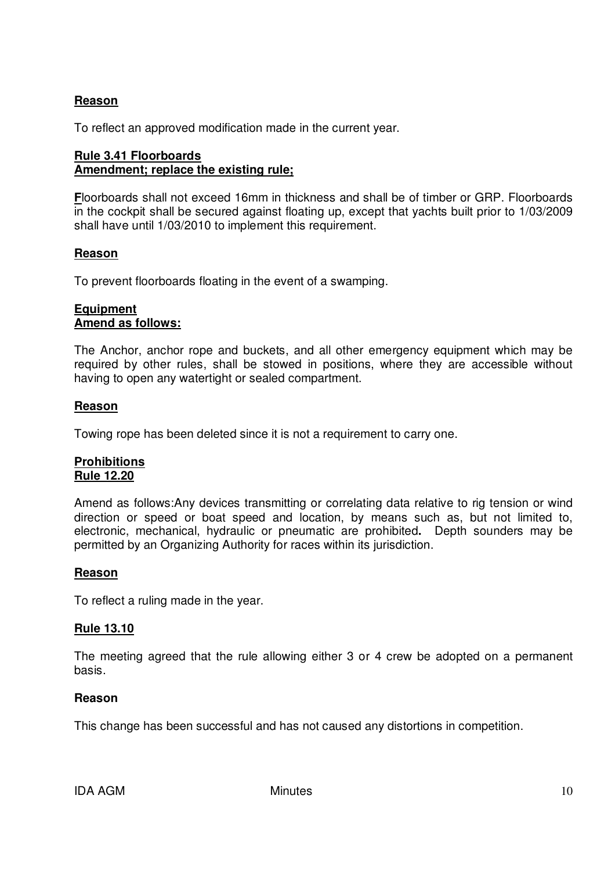# **Reason**

To reflect an approved modification made in the current year.

### **Rule 3.41 Floorboards Amendment; replace the existing rule;**

**F**loorboards shall not exceed 16mm in thickness and shall be of timber or GRP. Floorboards in the cockpit shall be secured against floating up, except that yachts built prior to 1/03/2009 shall have until 1/03/2010 to implement this requirement.

#### **Reason**

To prevent floorboards floating in the event of a swamping.

#### **Equipment Amend as follows:**

The Anchor, anchor rope and buckets, and all other emergency equipment which may be required by other rules, shall be stowed in positions, where they are accessible without having to open any watertight or sealed compartment.

#### **Reason**

Towing rope has been deleted since it is not a requirement to carry one.

#### **Prohibitions Rule 12.20**

Amend as follows:Any devices transmitting or correlating data relative to rig tension or wind direction or speed or boat speed and location, by means such as, but not limited to, electronic, mechanical, hydraulic or pneumatic are prohibited**.** Depth sounders may be permitted by an Organizing Authority for races within its jurisdiction.

#### **Reason**

To reflect a ruling made in the year.

#### **Rule 13.10**

The meeting agreed that the rule allowing either 3 or 4 crew be adopted on a permanent basis.

#### **Reason**

This change has been successful and has not caused any distortions in competition.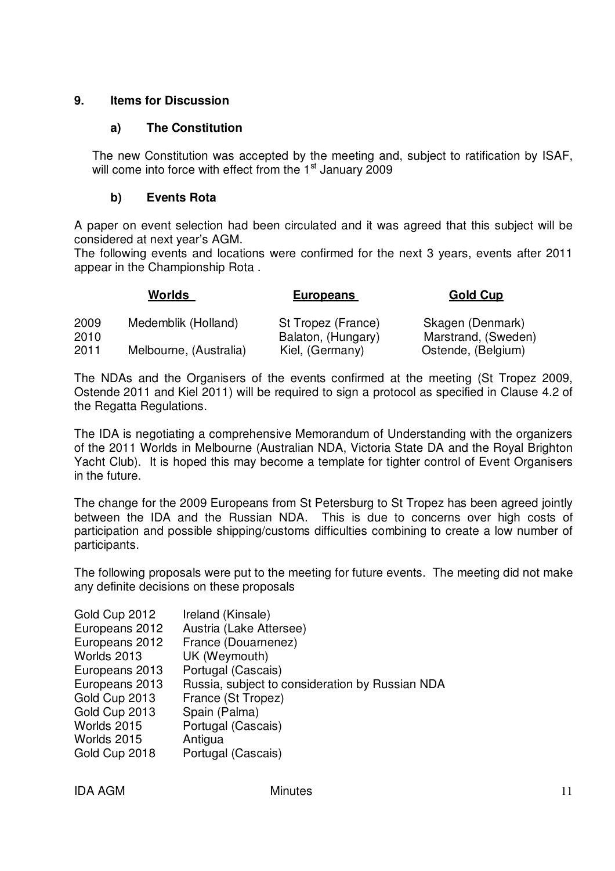# **9. Items for Discussion**

# **a) The Constitution**

The new Constitution was accepted by the meeting and, subject to ratification by ISAF, will come into force with effect from the 1<sup>st</sup> January 2009

# **b) Events Rota**

A paper on event selection had been circulated and it was agreed that this subject will be considered at next year's AGM.

The following events and locations were confirmed for the next 3 years, events after 2011 appear in the Championship Rota .

|              | Worlds                 | <b>Europeans</b>                         | Gold Cup                                |
|--------------|------------------------|------------------------------------------|-----------------------------------------|
| 2009<br>2010 | Medemblik (Holland)    | St Tropez (France)<br>Balaton, (Hungary) | Skagen (Denmark)<br>Marstrand, (Sweden) |
| 2011         | Melbourne, (Australia) | Kiel, (Germany)                          | Ostende, (Belgium)                      |

The NDAs and the Organisers of the events confirmed at the meeting (St Tropez 2009, Ostende 2011 and Kiel 2011) will be required to sign a protocol as specified in Clause 4.2 of the Regatta Regulations.

The IDA is negotiating a comprehensive Memorandum of Understanding with the organizers of the 2011 Worlds in Melbourne (Australian NDA, Victoria State DA and the Royal Brighton Yacht Club). It is hoped this may become a template for tighter control of Event Organisers in the future.

The change for the 2009 Europeans from St Petersburg to St Tropez has been agreed jointly between the IDA and the Russian NDA. This is due to concerns over high costs of participation and possible shipping/customs difficulties combining to create a low number of participants.

The following proposals were put to the meeting for future events. The meeting did not make any definite decisions on these proposals

| Gold Cup 2012  | Ireland (Kinsale)                               |
|----------------|-------------------------------------------------|
| Europeans 2012 | Austria (Lake Attersee)                         |
| Europeans 2012 | France (Douarnenez)                             |
| Worlds 2013    | UK (Weymouth)                                   |
| Europeans 2013 | Portugal (Cascais)                              |
| Europeans 2013 | Russia, subject to consideration by Russian NDA |
| Gold Cup 2013  | France (St Tropez)                              |
| Gold Cup 2013  | Spain (Palma)                                   |
| Worlds 2015    | Portugal (Cascais)                              |
|                |                                                 |
| Worlds 2015    | Antigua                                         |
| Gold Cup 2018  | Portugal (Cascais)                              |

| <b>IDA AGM</b> | <b>Minutes</b> |  |
|----------------|----------------|--|
|                |                |  |